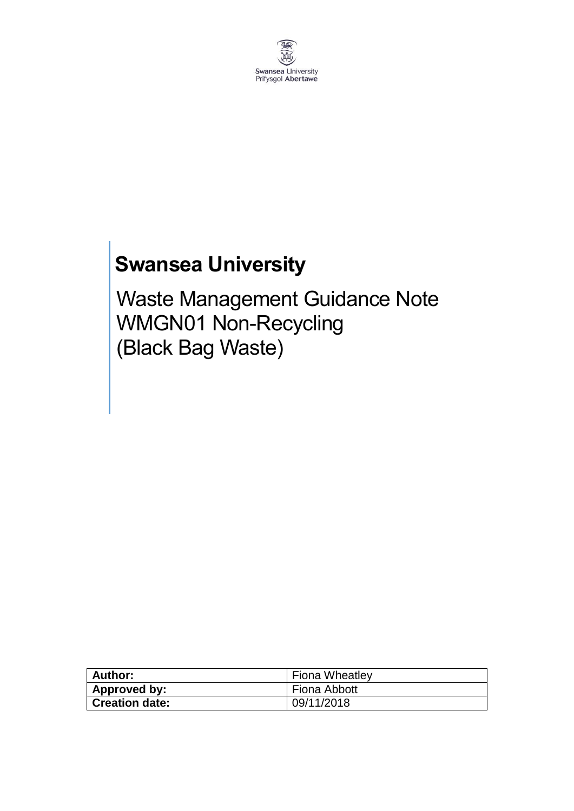

# **Swansea University**

Waste Management Guidance Note WMGN01 Non-Recycling (Black Bag Waste)

| <b>Author:</b>        | <b>Fiona Wheatley</b> |
|-----------------------|-----------------------|
| Approved by:          | Fiona Abbott          |
| <b>Creation date:</b> | 09/11/2018            |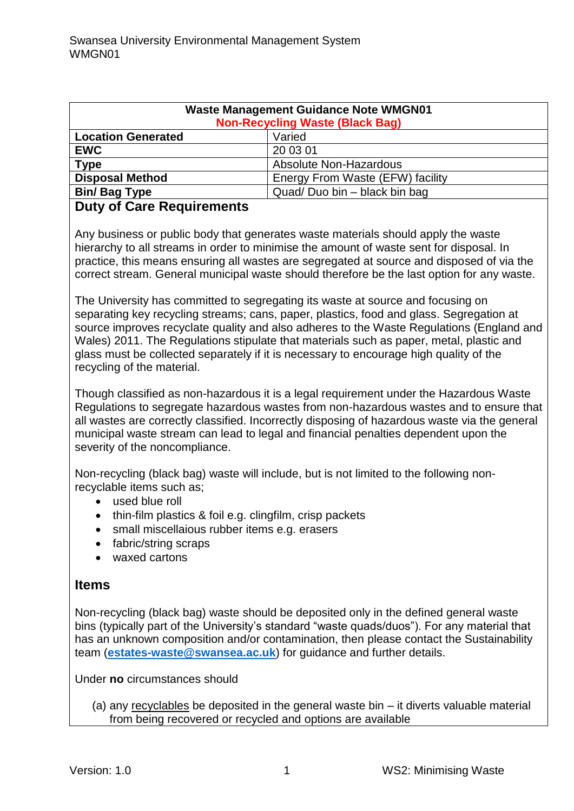| <b>Waste Management Guidance Note WMGN01</b><br><b>Non-Recycling Waste (Black Bag)</b> |                                  |
|----------------------------------------------------------------------------------------|----------------------------------|
| <b>Location Generated</b>                                                              | Varied                           |
| <b>EWC</b>                                                                             | 20 03 01                         |
| <b>Type</b>                                                                            | <b>Absolute Non-Hazardous</b>    |
| <b>Disposal Method</b>                                                                 | Energy From Waste (EFW) facility |
| <b>Bin/Bag Type</b>                                                                    | Quad/Duo bin - black bin bag     |
| - - - -                                                                                |                                  |

#### **Duty of Care Requirements**

Any business or public body that generates waste materials should apply the waste hierarchy to all streams in order to minimise the amount of waste sent for disposal. In practice, this means ensuring all wastes are segregated at source and disposed of via the correct stream. General municipal waste should therefore be the last option for any waste.

The University has committed to segregating its waste at source and focusing on separating key recycling streams; cans, paper, plastics, food and glass. Segregation at source improves recyclate quality and also adheres to the Waste Regulations (England and Wales) 2011. The Regulations stipulate that materials such as paper, metal, plastic and glass must be collected separately if it is necessary to encourage high quality of the recycling of the material.

Though classified as non-hazardous it is a legal requirement under the Hazardous Waste Regulations to segregate hazardous wastes from non-hazardous wastes and to ensure that all wastes are correctly classified. Incorrectly disposing of hazardous waste via the general municipal waste stream can lead to legal and financial penalties dependent upon the severity of the noncompliance.

Non-recycling (black bag) waste will include, but is not limited to the following nonrecyclable items such as;

- used blue roll
- thin-film plastics & foil e.g. clingfilm, crisp packets
- small miscellaious rubber items e.g. erasers
- fabric/string scraps
- waxed cartons

## **Items**

Non-recycling (black bag) waste should be deposited only in the defined general waste bins (typically part of the University's standard "waste quads/duos"). For any material that has an unknown composition and/or contamination, then please contact the Sustainability team (**[estates-waste@swansea.ac.uk](mailto:estates-waste@swansea.ac.uk)**) for guidance and further details.

Under **no** circumstances should

(a) any recyclables be deposited in the general waste bin – it diverts valuable material from being recovered or recycled and options are available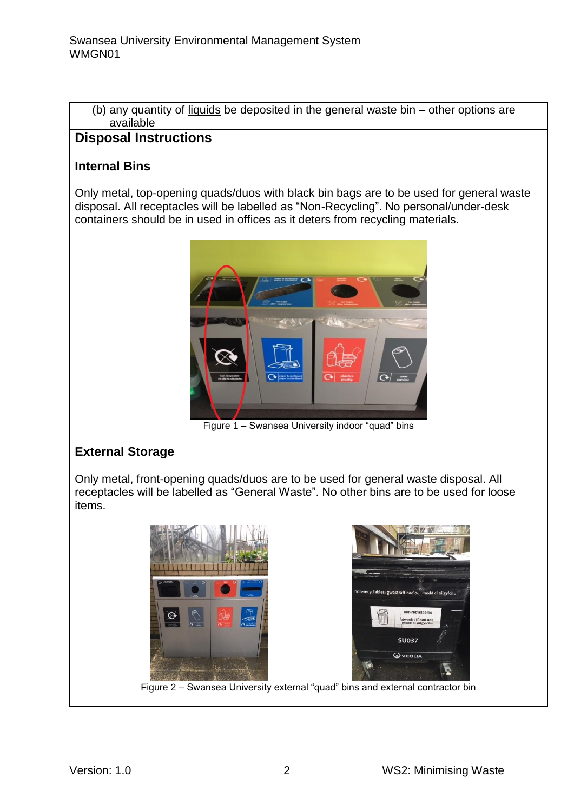(b) any quantity of liquids be deposited in the general waste bin – other options are available

# **Disposal Instructions**

#### **Internal Bins**

Only metal, top-opening quads/duos with black bin bags are to be used for general waste disposal. All receptacles will be labelled as "Non-Recycling". No personal/under-desk containers should be in used in offices as it deters from recycling materials.



Figure 1 – Swansea University indoor "quad" bins

## **External Storage**

Only metal, front-opening quads/duos are to be used for general waste disposal. All receptacles will be labelled as "General Waste". No other bins are to be used for loose items.



Figure 2 – Swansea University external "quad" bins and external contractor bin

Ó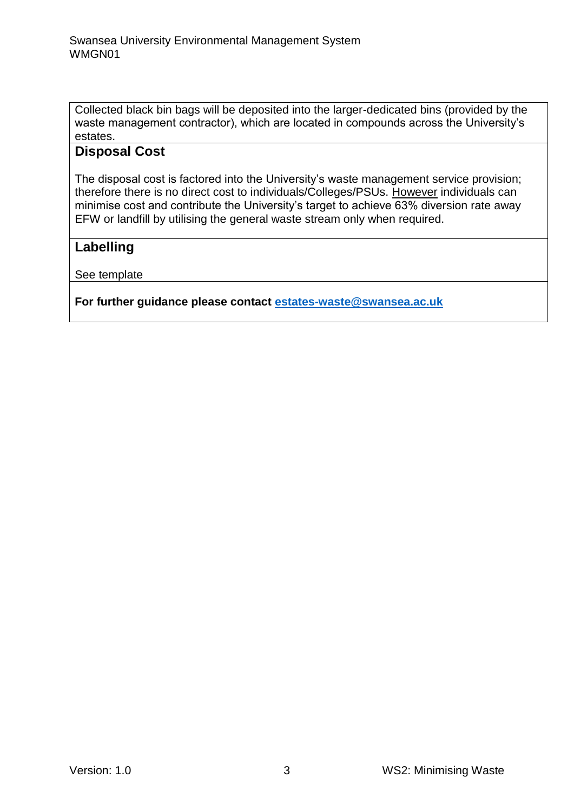Collected black bin bags will be deposited into the larger-dedicated bins (provided by the waste management contractor), which are located in compounds across the University's estates.

#### **Disposal Cost**

The disposal cost is factored into the University's waste management service provision; therefore there is no direct cost to individuals/Colleges/PSUs. However individuals can minimise cost and contribute the University's target to achieve 63% diversion rate away EFW or landfill by utilising the general waste stream only when required.

#### **Labelling**

See template

**For further guidance please contact [estates-waste@swansea.ac.uk](mailto:estates-waste@swansea.ac.uk)**